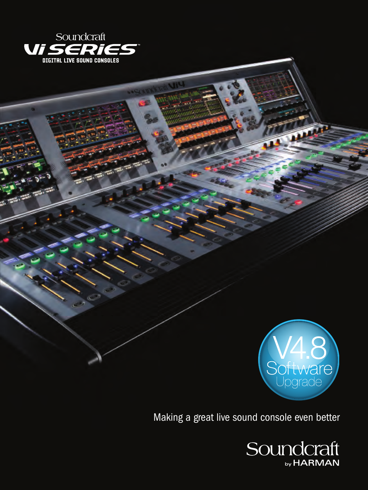



**DATE:** 

Making a great live sound console even better

Soundcraft by HARMAN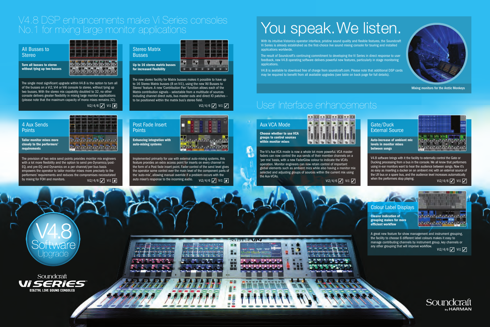## Gate/Duck External Source

V4.8 software brings with it the facility to externally control the Gate or Ducking processing from a bus in the console. We all know that performers using in-ear monitors want to hear the audience between songs. Now it's as easy as inserting a ducker on an ambient mic with an external source of the LR bus or a spare bus, and the audience level increases automatically when the performers stop playing.  $Vi2/4/6$   $\boxed{\checkmark}$  vi1  $\boxed{\checkmark}$  when the performers stop playing.<br> $Vi2/4/6$   $\boxed{\checkmark}$  vi1  $\boxed{\checkmark}$ 

**Auto-increase of ambient mic levels in monitor mixes between songs**

というこう こまにつ

# Aux VCA Mode

The Vi's Aux VCA mode is now a whole lot more powerful. VCA master faders can now control the aux sends of their member channels on a 'per mix' basis, with a new FaderGlow colour to indicate the VCA's operation. Monitor engineers can now retain control of important global elements such as ambient mics while also having a monitor mix selected and adjusting groups of sources within the current mix using the Aux-VCAs.





## 4 Aux Sends **Points**

**Choose whether to use VCA groups to control sources within monitor mixes**



### Post Fade Insert **Points**

# V4.8 DSP enhancements make Vi Series consoles No.1 for mixing large monitor applications

the form of a Post fade insert point. Fader control of the send level gives the operator some control over the main level of the component parts of the 'auto-mix', allowing manual override if a problem occurs with the Vi2/4/6  $\nabla$  Vi1  $\nabla$  auto mixer's response to the incoming audio. vi2/4/6  $\nabla$  Vi1

# You speak. We listen.

# User Interface enhancements

## All Busses to Stereo

# Stereo Matrix **Busses**

The single most significant upgrade within V4.8 is the option to turn all of the busses on a Vi2, Vi4 or Vi6 console to stereo, without tying up two busses. With the stereo mix capability doubled to 32, no other console delivers greater flexibility in mixing large monitor applications (please note that the maximum capacity of mono mixes remains 32).

# Vi2/4/6  $|$  $\checkmark$  Vi1

. . . . . . . . . . . . . . والحرابي والواجرات

> A great new feature for show management and instrument grouping, the facility to choose 6 different label colours makes it easy to manage contributing channels by instrument group, key channels or any other grouping that will improve workflow. Vi2/4/6  $\sqrt{ }$  Vi1  $\sqrt{ }$



**Turn all busses to stereo without tying up two busses**



The provision of two extra send points provides monitor mix engineers with a lot more flexibility and the option to send pre-Dynamics/post-EQ, and pre-EQ and Dynamics on a per channel/per bus basis empowers the operator to tailor monitor mixes more precisely to the performers' requirements and reduces the compromises necessitated by mixing for FOH and monitors.

**Tailor monitor mixes more closely to the performers' requirements**

Implemented primarily for use with external auto-mixing systems, this feature provides an extra access point for inserts on every channel in

**Enhancing integration with auto-mixing systems**



The new stereo facility for Matrix busses makes it possible to have up to 16 Stereo Matrix busses (8 on Vi1), using the new 'All Busses to Stereo' feature. A new 'Contribution Pan' function allows each of the Matrix contribution signals – selectable from a multitude of sources including channel direct outs, bus master outs and direct IO patches – to be positioned within the matrix bus's stereo field.

Vi2/4/6  $\sqrt{\phantom{a}}$  Vi1  $\sqrt{\phantom{a}}$ 

**Up to 16 stereo matrix busses for increased flexibility**



# Colour Label Displays

**Clearer indication of grouping makes for more efficient workflow**



With its intuitive Vistonics operator interface, pristine sound quality and flexible features, the Soundcraft Vi Series is already established as the first-choice live sound mixing console for touring and installed applications worldwide.

The result of Soundcraft's continuing commitment to developing the Vi Series in direct response to user feedback, new V4.8 operating software delivers powerful new features, particularly in stage monitoring applications.

V4.8 is available to download free of charge from soundcraft.com. Please note that additional DSP cards may be required to benefit from all available upgrades (see table on back page for full details).

Mixing monitors for the Arctic Monkeys